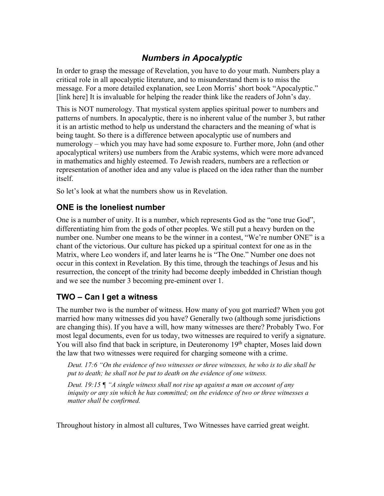# *Numbers in Apocalyptic*

In order to grasp the message of Revelation, you have to do your math. Numbers play a critical role in all apocalyptic literature, and to misunderstand them is to miss the message. For a more detailed explanation, see Leon Morris' short book "Apocalyptic." [link here] It is invaluable for helping the reader think like the readers of John's day.

This is NOT numerology. That mystical system applies spiritual power to numbers and patterns of numbers. In apocalyptic, there is no inherent value of the number 3, but rather it is an artistic method to help us understand the characters and the meaning of what is being taught. So there is a difference between apocalyptic use of numbers and numerology – which you may have had some exposure to. Further more, John (and other apocalyptical writers) use numbers from the Arabic systems, which were more advanced in mathematics and highly esteemed. To Jewish readers, numbers are a reflection or representation of another idea and any value is placed on the idea rather than the number itself.

So let's look at what the numbers show us in Revelation.

#### **ONE is the loneliest number**

One is a number of unity. It is a number, which represents God as the "one true God", differentiating him from the gods of other peoples. We still put a heavy burden on the number one. Number one means to be the winner in a contest, "We're number ONE" is a chant of the victorious. Our culture has picked up a spiritual context for one as in the Matrix, where Leo wonders if, and later learns he is "The One." Number one does not occur in this context in Revelation. By this time, through the teachings of Jesus and his resurrection, the concept of the trinity had become deeply imbedded in Christian though and we see the number 3 becoming pre-eminent over 1.

# **TWO – Can I get a witness**

The number two is the number of witness. How many of you got married? When you got married how many witnesses did you have? Generally two (although some jurisdictions are changing this). If you have a will, how many witnesses are there? Probably Two. For most legal documents, even for us today, two witnesses are required to verify a signature. You will also find that back in scripture, in Deuteronomy 19<sup>th</sup> chapter, Moses laid down the law that two witnesses were required for charging someone with a crime.

*Deut. 17:6 "On the evidence of two witnesses or three witnesses, he who is to die shall be put to death; he shall not be put to death on the evidence of one witness.* 

*Deut. 19:15 ¶ "A single witness shall not rise up against a man on account of any iniquity or any sin which he has committed; on the evidence of two or three witnesses a matter shall be confirmed.*

Throughout history in almost all cultures, Two Witnesses have carried great weight.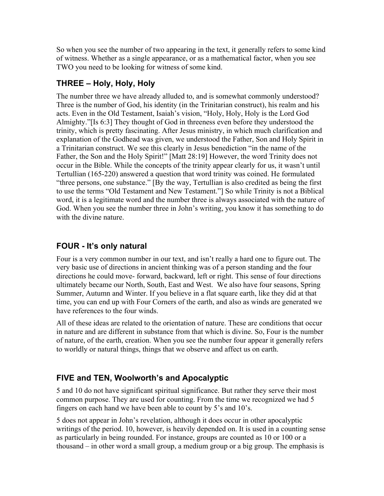So when you see the number of two appearing in the text, it generally refers to some kind of witness. Whether as a single appearance, or as a mathematical factor, when you see TWO you need to be looking for witness of some kind.

### **THREE – Holy, Holy, Holy**

The number three we have already alluded to, and is somewhat commonly understood? Three is the number of God, his identity (in the Trinitarian construct), his realm and his acts. Even in the Old Testament, Isaiah's vision, "Holy, Holy, Holy is the Lord God Almighty."[Is 6:3] They thought of God in threeness even before they understood the trinity, which is pretty fascinating. After Jesus ministry, in which much clarification and explanation of the Godhead was given, we understood the Father, Son and Holy Spirit in a Trinitarian construct. We see this clearly in Jesus benediction "in the name of the Father, the Son and the Holy Spirit!" [Matt 28:19] However, the word Trinity does not occur in the Bible. While the concepts of the trinity appear clearly for us, it wasn't until Tertullian (165-220) answered a question that word trinity was coined. He formulated "three persons, one substance." [By the way, Tertullian is also credited as being the first to use the terms "Old Testament and New Testament."] So while Trinity is not a Biblical word, it is a legitimate word and the number three is always associated with the nature of God. When you see the number three in John's writing, you know it has something to do with the divine nature.

### **FOUR - It's only natural**

Four is a very common number in our text, and isn't really a hard one to figure out. The very basic use of directions in ancient thinking was of a person standing and the four directions he could move- forward, backward, left or right. This sense of four directions ultimately became our North, South, East and West. We also have four seasons, Spring Summer, Autumn and Winter. If you believe in a flat square earth, like they did at that time, you can end up with Four Corners of the earth, and also as winds are generated we have references to the four winds.

All of these ideas are related to the orientation of nature. These are conditions that occur in nature and are different in substance from that which is divine. So, Four is the number of nature, of the earth, creation. When you see the number four appear it generally refers to worldly or natural things, things that we observe and affect us on earth.

# **FIVE and TEN, Woolworth's and Apocalyptic**

5 and 10 do not have significant spiritual significance. But rather they serve their most common purpose. They are used for counting. From the time we recognized we had 5 fingers on each hand we have been able to count by 5's and 10's.

5 does not appear in John's revelation, although it does occur in other apocalyptic writings of the period. 10, however, is heavily depended on. It is used in a counting sense as particularly in being rounded. For instance, groups are counted as 10 or 100 or a thousand – in other word a small group, a medium group or a big group. The emphasis is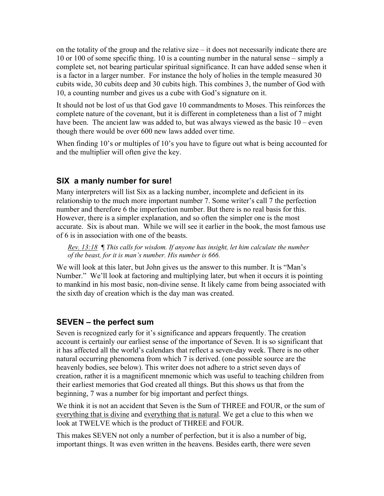on the totality of the group and the relative size – it does not necessarily indicate there are 10 or 100 of some specific thing. 10 is a counting number in the natural sense – simply a complete set, not bearing particular spiritual significance. It can have added sense when it is a factor in a larger number. For instance the holy of holies in the temple measured 30 cubits wide, 30 cubits deep and 30 cubits high. This combines 3, the number of God with 10, a counting number and gives us a cube with God's signature on it.

It should not be lost of us that God gave 10 commandments to Moses. This reinforces the complete nature of the covenant, but it is different in completeness than a list of 7 might have been. The ancient law was added to, but was always viewed as the basic 10 – even though there would be over 600 new laws added over time.

When finding 10's or multiples of 10's you have to figure out what is being accounted for and the multiplier will often give the key.

#### **SIX a manly number for sure!**

Many interpreters will list Six as a lacking number, incomplete and deficient in its relationship to the much more important number 7. Some writer's call 7 the perfection number and therefore 6 the imperfection number. But there is no real basis for this. However, there is a simpler explanation, and so often the simpler one is the most accurate. Six is about man. While we will see it earlier in the book, the most famous use of 6 is in association with one of the beasts.

*Rev. 13:18 ¶ This calls for wisdom. If anyone has insight, let him calculate the number of the beast, for it is man's number. His number is 666.*

We will look at this later, but John gives us the answer to this number. It is "Man's Number." We'll look at factoring and multiplying later, but when it occurs it is pointing to mankind in his most basic, non-divine sense. It likely came from being associated with the sixth day of creation which is the day man was created.

#### **SEVEN – the perfect sum**

Seven is recognized early for it's significance and appears frequently. The creation account is certainly our earliest sense of the importance of Seven. It is so significant that it has affected all the world's calendars that reflect a seven-day week. There is no other natural occurring phenomena from which 7 is derived. (one possible source are the heavenly bodies, see below). This writer does not adhere to a strict seven days of creation, rather it is a magnificent mnemonic which was useful to teaching children from their earliest memories that God created all things. But this shows us that from the beginning, 7 was a number for big important and perfect things.

We think it is not an accident that Seven is the Sum of THREE and FOUR, or the sum of everything that is divine and everything that is natural. We get a clue to this when we look at TWELVE which is the product of THREE and FOUR.

This makes SEVEN not only a number of perfection, but it is also a number of big, important things. It was even written in the heavens. Besides earth, there were seven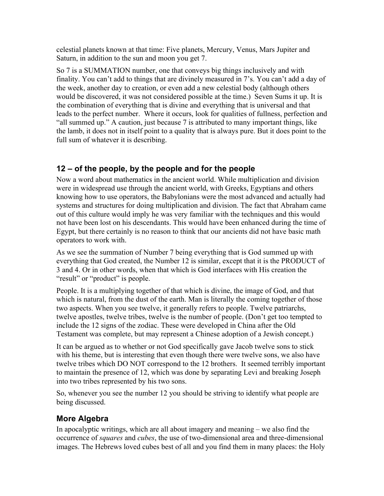celestial planets known at that time: Five planets, Mercury, Venus, Mars Jupiter and Saturn, in addition to the sun and moon you get 7.

So 7 is a SUMMATION number, one that conveys big things inclusively and with finality. You can't add to things that are divinely measured in 7's. You can't add a day of the week, another day to creation, or even add a new celestial body (although others would be discovered, it was not considered possible at the time.) Seven Sums it up. It is the combination of everything that is divine and everything that is universal and that leads to the perfect number. Where it occurs, look for qualities of fullness, perfection and "all summed up." A caution, just because 7 is attributed to many important things, like the lamb, it does not in itself point to a quality that is always pure. But it does point to the full sum of whatever it is describing.

### **12 – of the people, by the people and for the people**

Now a word about mathematics in the ancient world. While multiplication and division were in widespread use through the ancient world, with Greeks, Egyptians and others knowing how to use operators, the Babylonians were the most advanced and actually had systems and structures for doing multiplication and division. The fact that Abraham came out of this culture would imply he was very familiar with the techniques and this would not have been lost on his descendants. This would have been enhanced during the time of Egypt, but there certainly is no reason to think that our ancients did not have basic math operators to work with.

As we see the summation of Number 7 being everything that is God summed up with everything that God created, the Number 12 is similar, except that it is the PRODUCT of 3 and 4. Or in other words, when that which is God interfaces with His creation the "result" or "product" is people.

People. It is a multiplying together of that which is divine, the image of God, and that which is natural, from the dust of the earth. Man is literally the coming together of those two aspects. When you see twelve, it generally refers to people. Twelve patriarchs, twelve apostles, twelve tribes, twelve is the number of people. (Don't get too tempted to include the 12 signs of the zodiac. These were developed in China after the Old Testament was complete, but may represent a Chinese adoption of a Jewish concept.)

It can be argued as to whether or not God specifically gave Jacob twelve sons to stick with his theme, but is interesting that even though there were twelve sons, we also have twelve tribes which DO NOT correspond to the 12 brothers. It seemed terribly important to maintain the presence of 12, which was done by separating Levi and breaking Joseph into two tribes represented by his two sons.

So, whenever you see the number 12 you should be striving to identify what people are being discussed.

# **More Algebra**

In apocalyptic writings, which are all about imagery and meaning – we also find the occurrence of *squares* and *cubes*, the use of two-dimensional area and three-dimensional images. The Hebrews loved cubes best of all and you find them in many places: the Holy